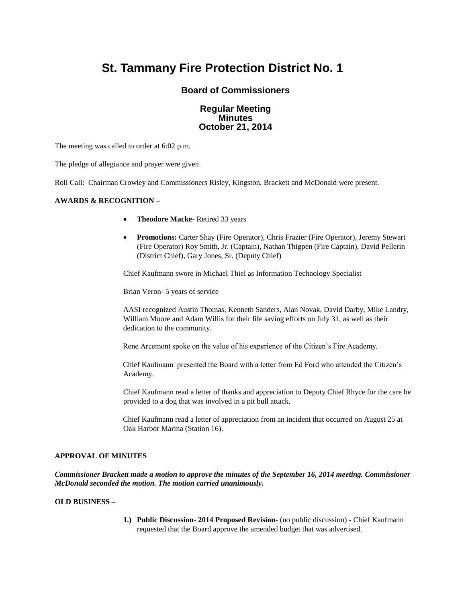# **St. Tammany Fire Protection District No. 1**

## **Board of Commissioners**

## **Regular Meeting Minutes October 21, 2014**

The meeting was called to order at 6:02 p.m.

The pledge of allegiance and prayer were given.

Roll Call: Chairman Crowley and Commissioners Risley, Kingston, Brackett and McDonald were present.

## **AWARDS & RECOGNITION –**

- **Theodore Macke-** Retired 33 years
- **Promotions:** Carter Shay (Fire Operator), Chris Frazier (Fire Operator), Jeremy Stewart (Fire Operator) Roy Smith, Jr. (Captain), Nathan Thigpen (Fire Captain), David Pellerin (District Chief), Gary Jones, Sr. (Deputy Chief)

Chief Kaufmann swore in Michael Thiel as Information Technology Specialist

Brian Veron- 5 years of service

AASI recognized Austin Thomas, Kenneth Sanders, Alan Novak, David Darby, Mike Landry, William Moore and Adam Willis for their life saving efforts on July 31, as well as their dedication to the community.

Rene Arcemont spoke on the value of his experience of the Citizen's Fire Academy.

 Chief Kaufmann presented the Board with a letter from Ed Ford who attended the Citizen's Academy.

Chief Kaufmann read a letter of thanks and appreciation to Deputy Chief Rhyce for the care he provided to a dog that was involved in a pit bull attack.

 Chief Kaufmann read a letter of appreciation from an incident that occurred on August 25 at Oak Harbor Marina (Station 16).

### **APPROVAL OF MINUTES**

*Commissioner Brackett made a motion to approve the minutes of the September 16, 2014 meeting. Commissioner McDonald seconded the motion. The motion carried unanimously.*

## **OLD BUSINESS –**

**1.) Public Discussion- 2014 Proposed Revision-** (no public discussion) **-** Chief Kaufmann requested that the Board approve the amended budget that was advertised.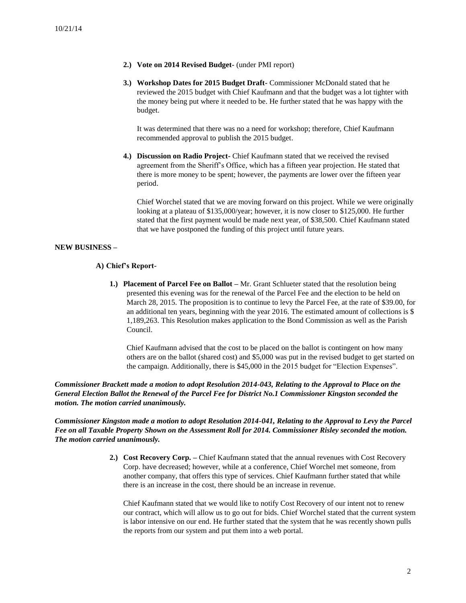- **2.) Vote on 2014 Revised Budget-** (under PMI report)
- **3.) Workshop Dates for 2015 Budget Draft-** Commissioner McDonald stated that he reviewed the 2015 budget with Chief Kaufmann and that the budget was a lot tighter with the money being put where it needed to be. He further stated that he was happy with the budget.

It was determined that there was no a need for workshop; therefore, Chief Kaufmann recommended approval to publish the 2015 budget.

**4.) Discussion on Radio Project-** Chief Kaufmann stated that we received the revised agreement from the Sheriff's Office, which has a fifteen year projection. He stated that there is more money to be spent; however, the payments are lower over the fifteen year period.

Chief Worchel stated that we are moving forward on this project. While we were originally looking at a plateau of \$135,000/year; however, it is now closer to \$125,000. He further stated that the first payment would be made next year, of \$38,500. Chief Kaufmann stated that we have postponed the funding of this project until future years.

## **NEW BUSINESS –**

#### **A) Chief's Report-**

**1.) Placement of Parcel Fee on Ballot –** Mr. Grant Schlueter stated that the resolution being presented this evening was for the renewal of the Parcel Fee and the election to be held on March 28, 2015. The proposition is to continue to levy the Parcel Fee, at the rate of \$39.00, for an additional ten years, beginning with the year 2016. The estimated amount of collections is \$ 1,189,263. This Resolution makes application to the Bond Commission as well as the Parish Council.

Chief Kaufmann advised that the cost to be placed on the ballot is contingent on how many others are on the ballot (shared cost) and \$5,000 was put in the revised budget to get started on the campaign. Additionally, there is \$45,000 in the 2015 budget for "Election Expenses".

*Commissioner Brackett made a motion to adopt Resolution 2014-043, Relating to the Approval to Place on the General Election Ballot the Renewal of the Parcel Fee for District No.1 Commissioner Kingston seconded the motion. The motion carried unanimously.*

*Commissioner Kingston made a motion to adopt Resolution 2014-041, Relating to the Approval to Levy the Parcel Fee on all Taxable Property Shown on the Assessment Roll for 2014. Commissioner Risley seconded the motion. The motion carried unanimously.*

> **2.) Cost Recovery Corp. –** Chief Kaufmann stated that the annual revenues with Cost Recovery Corp. have decreased; however, while at a conference, Chief Worchel met someone, from another company, that offers this type of services. Chief Kaufmann further stated that while there is an increase in the cost, there should be an increase in revenue.

Chief Kaufmann stated that we would like to notify Cost Recovery of our intent not to renew our contract, which will allow us to go out for bids. Chief Worchel stated that the current system is labor intensive on our end. He further stated that the system that he was recently shown pulls the reports from our system and put them into a web portal.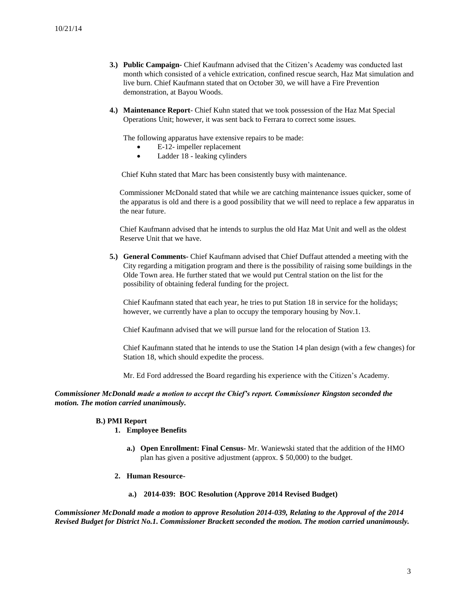- **3.) Public Campaign-** Chief Kaufmann advised that the Citizen's Academy was conducted last month which consisted of a vehicle extrication, confined rescue search, Haz Mat simulation and live burn. Chief Kaufmann stated that on October 30, we will have a Fire Prevention demonstration, at Bayou Woods.
- **4.) Maintenance Report** Chief Kuhn stated that we took possession of the Haz Mat Special Operations Unit; however, it was sent back to Ferrara to correct some issues.

The following apparatus have extensive repairs to be made:

- E-12- impeller replacement
- Ladder 18 leaking cylinders

Chief Kuhn stated that Marc has been consistently busy with maintenance.

 Commissioner McDonald stated that while we are catching maintenance issues quicker, some of the apparatus is old and there is a good possibility that we will need to replace a few apparatus in the near future.

Chief Kaufmann advised that he intends to surplus the old Haz Mat Unit and well as the oldest Reserve Unit that we have.

**5.) General Comments-** Chief Kaufmann advised that Chief Duffaut attended a meeting with the City regarding a mitigation program and there is the possibility of raising some buildings in the Olde Town area. He further stated that we would put Central station on the list for the possibility of obtaining federal funding for the project.

Chief Kaufmann stated that each year, he tries to put Station 18 in service for the holidays; however, we currently have a plan to occupy the temporary housing by Nov.1.

Chief Kaufmann advised that we will pursue land for the relocation of Station 13.

Chief Kaufmann stated that he intends to use the Station 14 plan design (with a few changes) for Station 18, which should expedite the process.

Mr. Ed Ford addressed the Board regarding his experience with the Citizen's Academy.

### *Commissioner McDonald made a motion to accept the Chief's report. Commissioner Kingston seconded the motion. The motion carried unanimously.*

#### **B.) PMI Report**

## **1. Employee Benefits**

- **a.) Open Enrollment: Final Census-** Mr. Waniewski stated that the addition of the HMO plan has given a positive adjustment (approx. \$ 50,000) to the budget.
- **2. Human Resource**
	- **a.) 2014-039: BOC Resolution (Approve 2014 Revised Budget)**

*Commissioner McDonald made a motion to approve Resolution 2014-039, Relating to the Approval of the 2014 Revised Budget for District No.1. Commissioner Brackett seconded the motion. The motion carried unanimously.*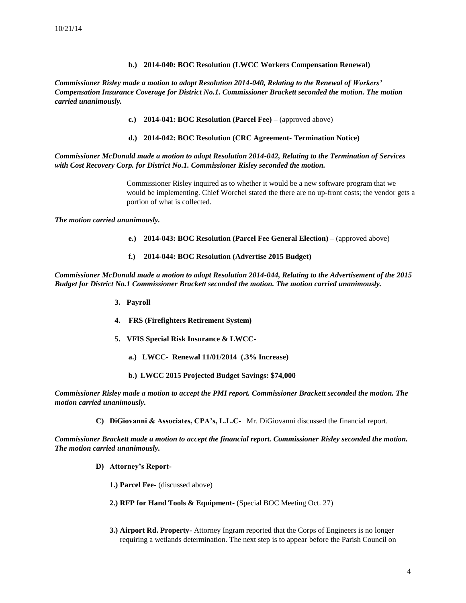## **b.) 2014-040: BOC Resolution (LWCC Workers Compensation Renewal)**

*Commissioner Risley made a motion to adopt Resolution 2014-040, Relating to the Renewal of Workers' Compensation Insurance Coverage for District No.1. Commissioner Brackett seconded the motion. The motion carried unanimously.*

- **c.) 2014-041: BOC Resolution (Parcel Fee) –** (approved above)
- **d.) 2014-042: BOC Resolution (CRC Agreement- Termination Notice)**

*Commissioner McDonald made a motion to adopt Resolution 2014-042, Relating to the Termination of Services with Cost Recovery Corp. for District No.1. Commissioner Risley seconded the motion.* 

> Commissioner Risley inquired as to whether it would be a new software program that we would be implementing. Chief Worchel stated the there are no up-front costs; the vendor gets a portion of what is collected.

*The motion carried unanimously.*

- **e.) 2014-043: BOC Resolution (Parcel Fee General Election) –** (approved above)
- **f.) 2014-044: BOC Resolution (Advertise 2015 Budget)**

*Commissioner McDonald made a motion to adopt Resolution 2014-044, Relating to the Advertisement of the 2015 Budget for District No.1 Commissioner Brackett seconded the motion. The motion carried unanimously.*

- **3. Payroll**
- **4. FRS (Firefighters Retirement System)**
- **5. VFIS Special Risk Insurance & LWCC**
	- **a.) LWCC- Renewal 11/01/2014 (.3% Increase)**
	- **b.) LWCC 2015 Projected Budget Savings: \$74,000**

*Commissioner Risley made a motion to accept the PMI report. Commissioner Brackett seconded the motion. The motion carried unanimously.*

**C) DiGiovanni & Associates, CPA's, L.L.C-** Mr. DiGiovanni discussed the financial report.

*Commissioner Brackett made a motion to accept the financial report. Commissioner Risley seconded the motion. The motion carried unanimously.*

- **D) Attorney's Report-**
	- **1.) Parcel Fee-** (discussed above)
	- **2.) RFP for Hand Tools & Equipment-** (Special BOC Meeting Oct. 27)
	- **3.) Airport Rd. Property-** Attorney Ingram reported that the Corps of Engineers is no longer requiring a wetlands determination. The next step is to appear before the Parish Council on